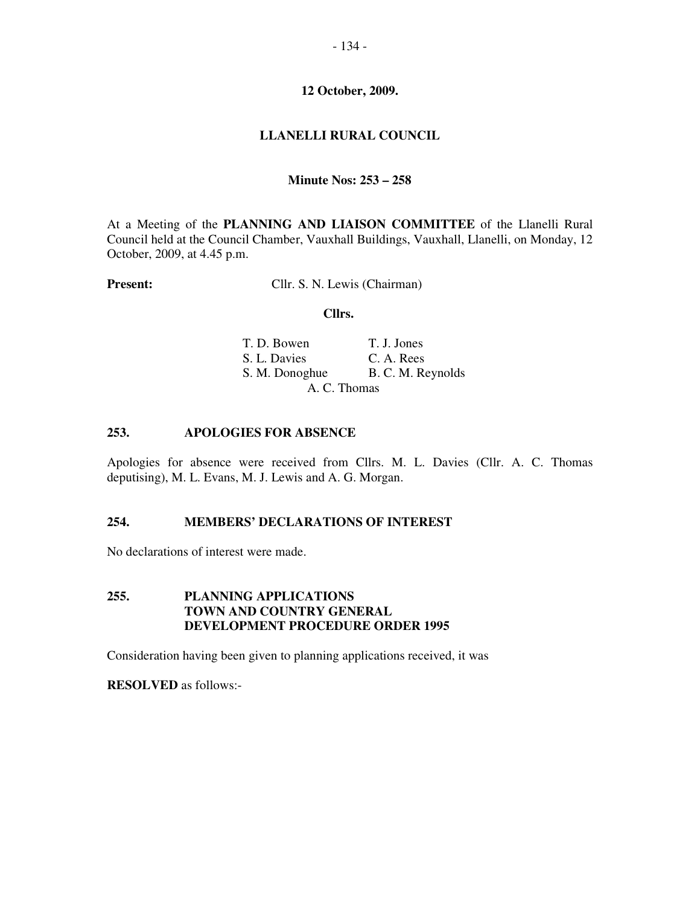# **LLANELLI RURAL COUNCIL**

## **Minute Nos: 253 – 258**

At a Meeting of the **PLANNING AND LIAISON COMMITTEE** of the Llanelli Rural Council held at the Council Chamber, Vauxhall Buildings, Vauxhall, Llanelli, on Monday, 12 October, 2009, at 4.45 p.m.

**Present:** Cllr. S. N. Lewis (Chairman)

#### **Cllrs.**

| T. D. Bowen    | T. J. Jones       |
|----------------|-------------------|
| S. L. Davies   | C. A. Rees        |
| S. M. Donoghue | B. C. M. Reynolds |
|                | A. C. Thomas      |

#### **253. APOLOGIES FOR ABSENCE**

Apologies for absence were received from Cllrs. M. L. Davies (Cllr. A. C. Thomas deputising), M. L. Evans, M. J. Lewis and A. G. Morgan.

## **254. MEMBERS' DECLARATIONS OF INTEREST**

No declarations of interest were made.

# **255. PLANNING APPLICATIONS TOWN AND COUNTRY GENERAL DEVELOPMENT PROCEDURE ORDER 1995**

Consideration having been given to planning applications received, it was

**RESOLVED** as follows:-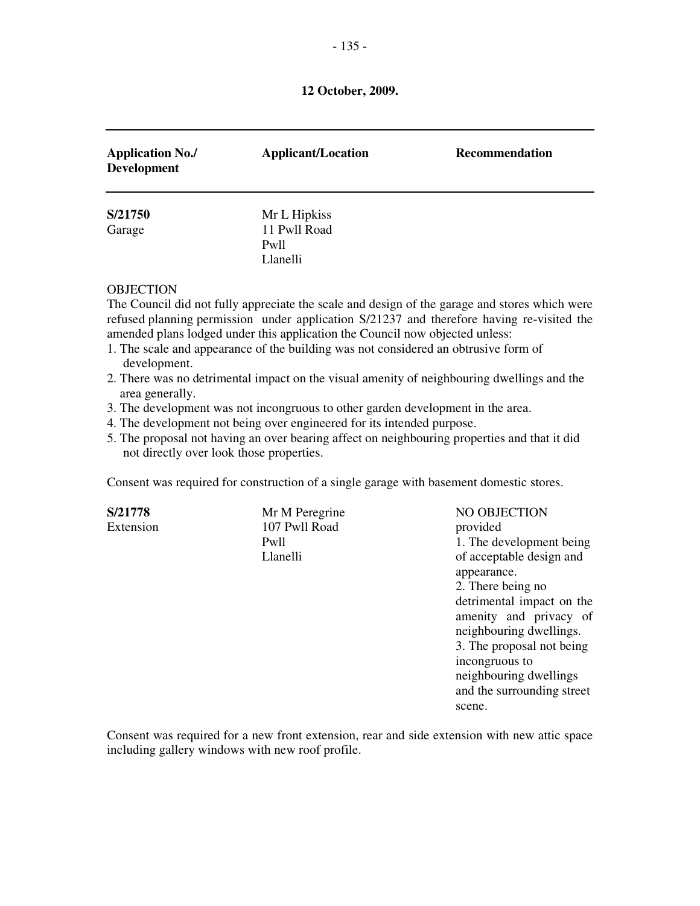| <b>Application No./</b><br><b>Development</b> | <b>Applicant/Location</b>        | <b>Recommendation</b> |
|-----------------------------------------------|----------------------------------|-----------------------|
| S/21750                                       | Mr L Hipkiss                     |                       |
| Garage                                        | 11 Pwll Road<br>Pwll<br>Llanelli |                       |

#### **OBJECTION**

The Council did not fully appreciate the scale and design of the garage and stores which were refused planning permission under application S/21237 and therefore having re-visited the amended plans lodged under this application the Council now objected unless:

- 1. The scale and appearance of the building was not considered an obtrusive form of development.
- 2. There was no detrimental impact on the visual amenity of neighbouring dwellings and the area generally.
- 3. The development was not incongruous to other garden development in the area.
- 4. The development not being over engineered for its intended purpose.
- 5. The proposal not having an over bearing affect on neighbouring properties and that it did not directly over look those properties.

Consent was required for construction of a single garage with basement domestic stores.

**S/21778** Mr M Peregrine NO OBJECTION Extension 107 Pwll Road provided

Pwll 1. The development being Llanelli of acceptable design and appearance. 2. There being no detrimental impact on the amenity and privacy of neighbouring dwellings. 3. The proposal not being incongruous to neighbouring dwellings and the surrounding street scene.

Consent was required for a new front extension, rear and side extension with new attic space including gallery windows with new roof profile.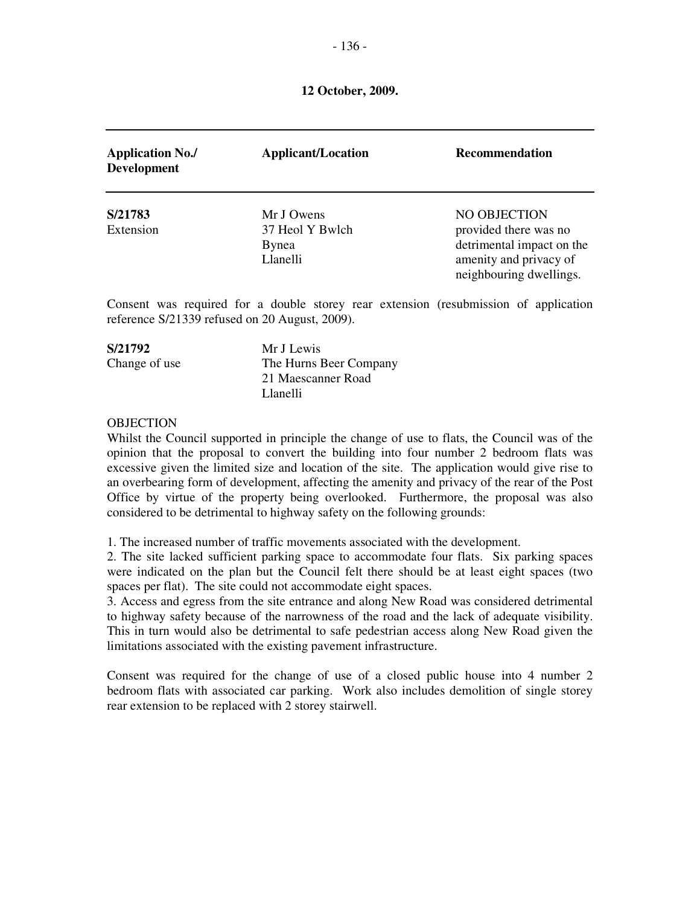| <b>Application No./</b><br><b>Development</b> | <b>Applicant/Location</b>                          | <b>Recommendation</b>                                                                                                   |
|-----------------------------------------------|----------------------------------------------------|-------------------------------------------------------------------------------------------------------------------------|
| S/21783<br>Extension                          | Mr J Owens<br>37 Heol Y Bwlch<br>Bynea<br>Llanelli | NO OBJECTION<br>provided there was no<br>detrimental impact on the<br>amenity and privacy of<br>neighbouring dwellings. |

Consent was required for a double storey rear extension (resubmission of application reference S/21339 refused on 20 August, 2009).

| S/21792       | Mr J Lewis             |
|---------------|------------------------|
| Change of use | The Hurns Beer Company |
|               | 21 Maescanner Road     |
|               | Llanelli               |

#### **OBJECTION**

Whilst the Council supported in principle the change of use to flats, the Council was of the opinion that the proposal to convert the building into four number 2 bedroom flats was excessive given the limited size and location of the site. The application would give rise to an overbearing form of development, affecting the amenity and privacy of the rear of the Post Office by virtue of the property being overlooked. Furthermore, the proposal was also considered to be detrimental to highway safety on the following grounds:

1. The increased number of traffic movements associated with the development.

2. The site lacked sufficient parking space to accommodate four flats. Six parking spaces were indicated on the plan but the Council felt there should be at least eight spaces (two spaces per flat). The site could not accommodate eight spaces.

3. Access and egress from the site entrance and along New Road was considered detrimental to highway safety because of the narrowness of the road and the lack of adequate visibility. This in turn would also be detrimental to safe pedestrian access along New Road given the limitations associated with the existing pavement infrastructure.

Consent was required for the change of use of a closed public house into 4 number 2 bedroom flats with associated car parking. Work also includes demolition of single storey rear extension to be replaced with 2 storey stairwell.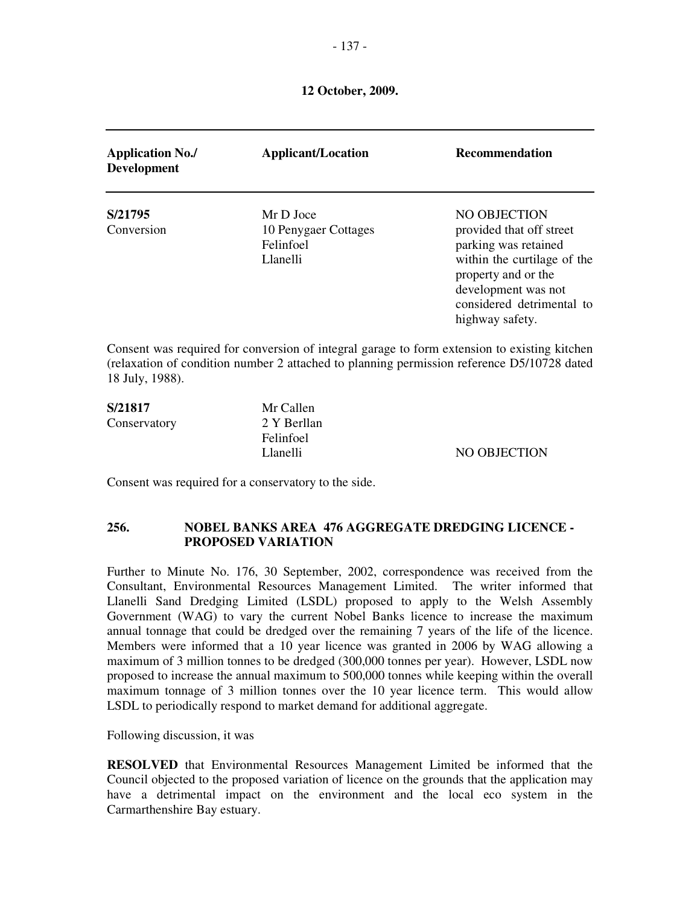| <b>Application No./</b><br><b>Development</b> | <b>Applicant/Location</b>                                  | <b>Recommendation</b>                                                                                                                                                                         |
|-----------------------------------------------|------------------------------------------------------------|-----------------------------------------------------------------------------------------------------------------------------------------------------------------------------------------------|
| S/21795<br>Conversion                         | Mr D Joce<br>10 Penygaer Cottages<br>Felinfoel<br>Llanelli | NO OBJECTION<br>provided that off street<br>parking was retained<br>within the curtilage of the<br>property and or the<br>development was not<br>considered detrimental to<br>highway safety. |
| 18 July, 1988).                               |                                                            | Consent was required for conversion of integral garage to form extension to existing kitchen<br>(relaxation of condition number 2 attached to planning permission reference D5/10728 dated    |

| S/21817      | Mr Callen        |              |
|--------------|------------------|--------------|
| Conservatory | 2 Y Berllan      |              |
|              | <b>Felinfoel</b> |              |
|              | Llanelli         | NO OBJECTION |
|              |                  |              |

Consent was required for a conservatory to the side.

## **256. NOBEL BANKS AREA 476 AGGREGATE DREDGING LICENCE - PROPOSED VARIATION**

Further to Minute No. 176, 30 September, 2002, correspondence was received from the Consultant, Environmental Resources Management Limited. The writer informed that Llanelli Sand Dredging Limited (LSDL) proposed to apply to the Welsh Assembly Government (WAG) to vary the current Nobel Banks licence to increase the maximum annual tonnage that could be dredged over the remaining 7 years of the life of the licence. Members were informed that a 10 year licence was granted in 2006 by WAG allowing a maximum of 3 million tonnes to be dredged (300,000 tonnes per year). However, LSDL now proposed to increase the annual maximum to 500,000 tonnes while keeping within the overall maximum tonnage of 3 million tonnes over the 10 year licence term. This would allow LSDL to periodically respond to market demand for additional aggregate.

Following discussion, it was

**RESOLVED** that Environmental Resources Management Limited be informed that the Council objected to the proposed variation of licence on the grounds that the application may have a detrimental impact on the environment and the local eco system in the Carmarthenshire Bay estuary.